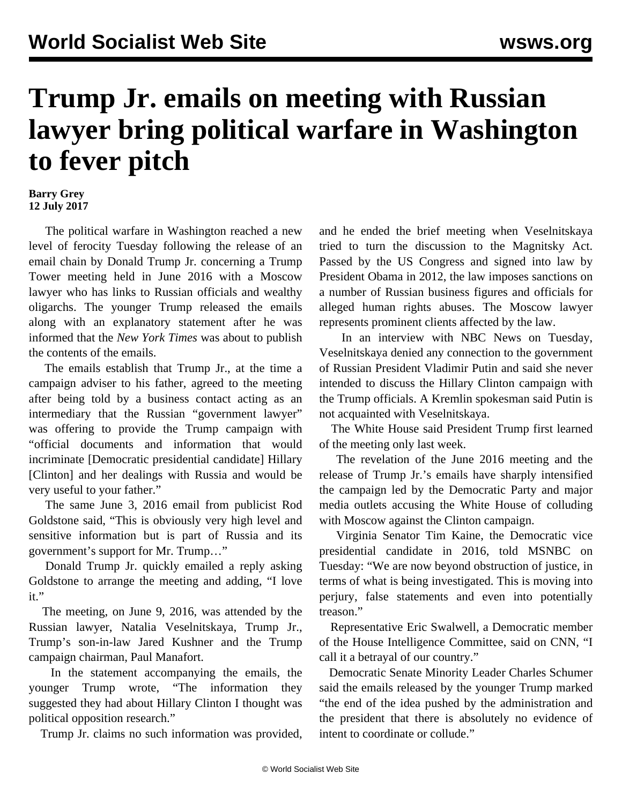## **Trump Jr. emails on meeting with Russian lawyer bring political warfare in Washington to fever pitch**

## **Barry Grey 12 July 2017**

 The political warfare in Washington reached a new level of ferocity Tuesday following the release of an email chain by Donald Trump Jr. concerning a Trump Tower meeting held in June 2016 with a Moscow lawyer who has links to Russian officials and wealthy oligarchs. The younger Trump released the emails along with an explanatory statement after he was informed that the *New York Times* was about to publish the contents of the emails.

 The emails establish that Trump Jr., at the time a campaign adviser to his father, agreed to the meeting after being told by a business contact acting as an intermediary that the Russian "government lawyer" was offering to provide the Trump campaign with "official documents and information that would incriminate [Democratic presidential candidate] Hillary [Clinton] and her dealings with Russia and would be very useful to your father."

 The same June 3, 2016 email from publicist Rod Goldstone said, "This is obviously very high level and sensitive information but is part of Russia and its government's support for Mr. Trump…"

 Donald Trump Jr. quickly emailed a reply asking Goldstone to arrange the meeting and adding, "I love it."

 The meeting, on June 9, 2016, was attended by the Russian lawyer, Natalia Veselnitskaya, Trump Jr., Trump's son-in-law Jared Kushner and the Trump campaign chairman, Paul Manafort.

 In the statement accompanying the emails, the younger Trump wrote, "The information they suggested they had about Hillary Clinton I thought was political opposition research."

Trump Jr. claims no such information was provided,

and he ended the brief meeting when Veselnitskaya tried to turn the discussion to the Magnitsky Act. Passed by the US Congress and signed into law by President Obama in 2012, the law imposes sanctions on a number of Russian business figures and officials for alleged human rights abuses. The Moscow lawyer represents prominent clients affected by the law.

 In an interview with NBC News on Tuesday, Veselnitskaya denied any connection to the government of Russian President Vladimir Putin and said she never intended to discuss the Hillary Clinton campaign with the Trump officials. A Kremlin spokesman said Putin is not acquainted with Veselnitskaya.

 The White House said President Trump first learned of the meeting only last week.

 The revelation of the June 2016 meeting and the release of Trump Jr.'s emails have sharply intensified the campaign led by the Democratic Party and major media outlets accusing the White House of colluding with Moscow against the Clinton campaign.

 Virginia Senator Tim Kaine, the Democratic vice presidential candidate in 2016, told MSNBC on Tuesday: "We are now beyond obstruction of justice, in terms of what is being investigated. This is moving into perjury, false statements and even into potentially treason."

 Representative Eric Swalwell, a Democratic member of the House Intelligence Committee, said on CNN, "I call it a betrayal of our country."

 Democratic Senate Minority Leader Charles Schumer said the emails released by the younger Trump marked "the end of the idea pushed by the administration and the president that there is absolutely no evidence of intent to coordinate or collude."